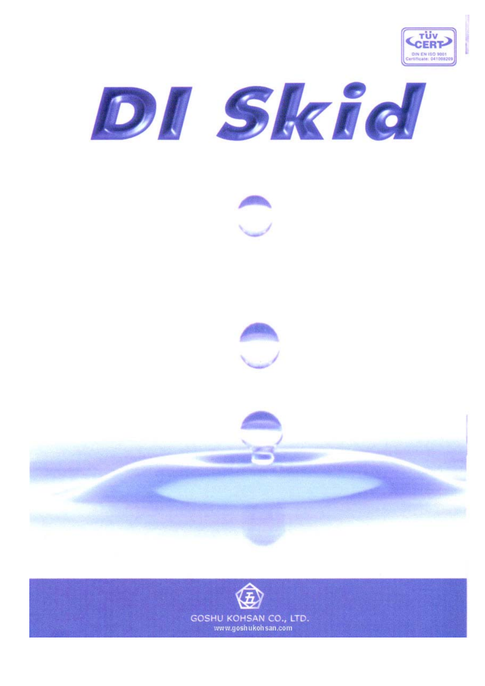









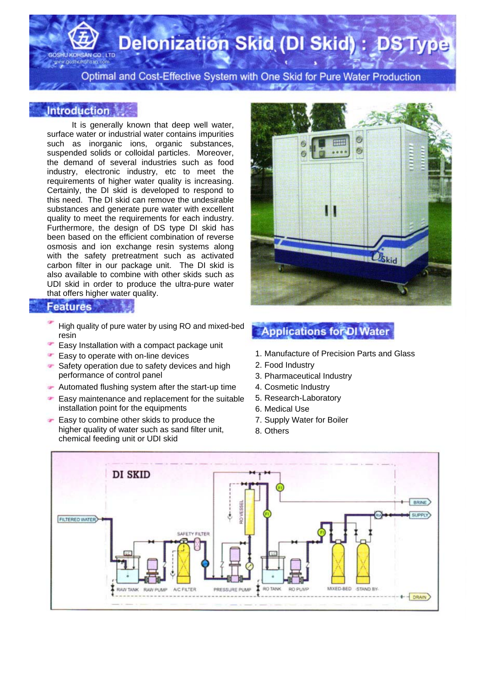**Delonization Skid (DI Skid): DST** 

Optimal and Cost-Effective System with One Skid for Pure Water Production

#### **Introduction**

oshukohsan.com

It is generally known that deep well water, surface water or industrial water contains impurities such as inorganic ions, organic substances, suspended solids or colloidal particles. Moreover, the demand of several industries such as food industry, electronic industry, etc to meet the requirements of higher water quality is increasing. Certainly, the DI skid is developed to respond to this need. The DI skid can remove the undesirable substances and generate pure water with excellent quality to meet the requirements for each industry. Furthermore, the design of DS type DI skid has been based on the efficient combination of reverse osmosis and ion exchange resin systems along with the safety pretreatment such as activated carbon filter in our package unit. The DI skid is also available to combine with other skids such as UDI skid in order to produce the ultra-pure water that offers higher water quality.

#### **Features**

- High quality of pure water by using RO and mixed-bed resin
- Easy Installation with a compact package unit
- œ Easy to operate with on-line devices
- Safety operation due to safety devices and high performance of control panel
- $\blacktriangleright$  Automated flushing system after the start-up time
- Easy maintenance and replacement for the suitable ÷ installation point for the equipments
- Easy to combine other skids to produce the higher quality of water such as sand filter unit, chemical feeding unit or UDI skid



### **Applications for DI Water**

- 1. Manufacture of Precision Parts and Glass
- 2. Food Industry
- 3. Pharmaceutical Industry
- 4. Cosmetic Industry
- 5. Research-Laboratory
- 6. Medical Use
- 7. Supply Water for Boiler
- 8. Others

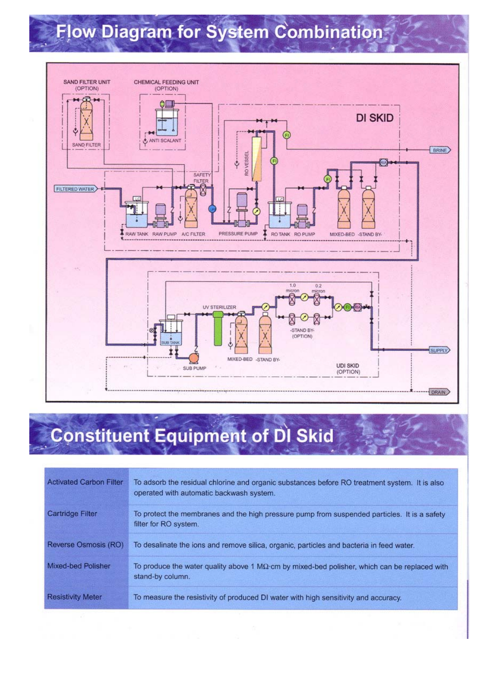## Flow Diagram for System Combination



### **Constituent Equipment of DI Skid**

| <b>Activated Carbon Filter</b> | To adsorb the residual chlorine and organic substances before RO treatment system. It is also<br>operated with automatic backwash system. |
|--------------------------------|-------------------------------------------------------------------------------------------------------------------------------------------|
| Cartridge Filter               | To protect the membranes and the high pressure pump from suspended particles. It is a safety<br>filter for RO system.                     |
| Reverse Osmosis (RO)           | To desalinate the ions and remove silica, organic, particles and bacteria in feed water.                                                  |
| Mixed-bed Polisher             | To produce the water quality above 1 $M\Omega$ cm by mixed-bed polisher, which can be replaced with<br>stand-by column.                   |
| <b>Resistivity Meter</b>       | To measure the resistivity of produced DI water with high sensitivity and accuracy.                                                       |